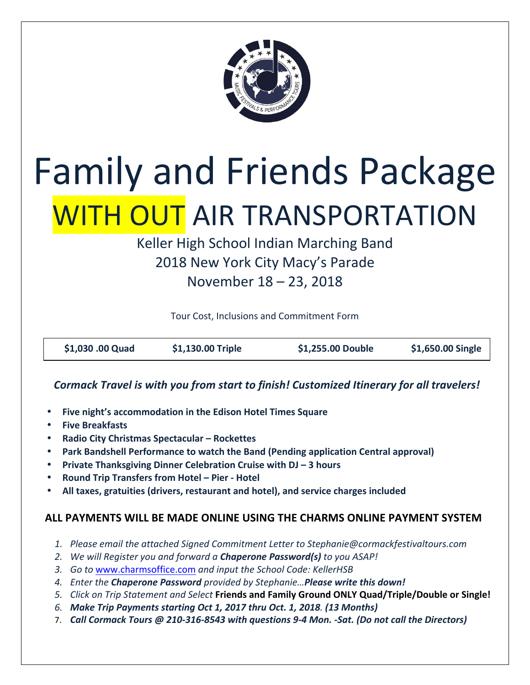

# Family and Friends Package WITH OUT AIR TRANSPORTATION

Keller High School Indian Marching Band 2018 New York City Macy's Parade November 18 – 23, 2018

Tour Cost, Inclusions and Commitment Form

| \$1,030 .00 Quad | \$1,130.00 Triple | \$1,255.00 Double | \$1,650.00 Single |
|------------------|-------------------|-------------------|-------------------|
|                  |                   |                   |                   |

#### **Cormack Travel is with you from start to finish! Customized Itinerary for all travelers!**

- **Five night's accommodation in the Edison Hotel Times Square**
- **Five Breakfasts**
- **Radio City Christmas Spectacular Rockettes**
- Park Bandshell Performance to watch the Band (Pending application Central approval)
- **•** Private Thanksgiving Dinner Celebration Cruise with DJ 3 hours
- **Round Trip Transfers from Hotel Pier Hotel**
- All taxes, gratuities (drivers, restaurant and hotel), and service charges included

#### **ALL PAYMENTS WILL BE MADE ONLINE USING THE CHARMS ONLINE PAYMENT SYSTEM**

- 1. Please email the attached Signed Commitment Letter to Stephanie@cormackfestivaltours.com
- 2. *We will Register you and forward a Chaperone Password(s) to you ASAP!*
- 3. Go to www.charmsoffice.com and input the School Code: KellerHSB
- 4. Enter the **Chaperone Password** provided by Stephanie...Please write this down!
- 5. *Click on Trip Statement and Select* Friends and Family Ground ONLY Quad/Triple/Double or Single!
- *6. Make Trip Payments starting Oct 1, 2017 thru Oct. 1, 2018. (13 Months)*
- 7. Call Cormack Tours @ 210-316-8543 with questions 9-4 Mon. -Sat. (Do not call the Directors)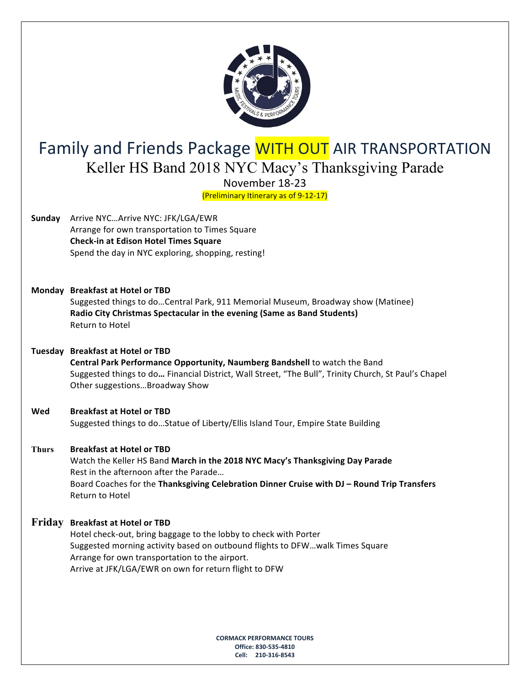

## Family and Friends Package WITH OUT AIR TRANSPORTATION Keller HS Band 2018 NYC Macy's Thanksgiving Parade

November 18-23

(Preliminary Itinerary as of 9-12-17) 

- **Sunday** Arrive NYC...Arrive NYC: JFK/LGA/EWR Arrange for own transportation to Times Square  **Check-in at Edison Hotel Times Square** Spend the day in NYC exploring, shopping, resting!
- **Monday Breakfast at Hotel or TBD**

Suggested things to do...Central Park, 911 Memorial Museum, Broadway show (Matinee) **Radio City Christmas Spectacular in the evening (Same as Band Students) Return to Hotel** 

- **Tuesday Breakfast at Hotel or TBD Central Park Performance Opportunity, Naumberg Bandshell** to watch the Band Suggested things to do... Financial District, Wall Street, "The Bull", Trinity Church, St Paul's Chapel Other suggestions...Broadway Show
- Wed **Breakfast at Hotel or TBD**

Suggested things to do...Statue of Liberty/Ellis Island Tour, Empire State Building

**Thurs Breakfast at Hotel or TBD**

Watch the Keller HS Band March in the 2018 NYC Macy's Thanksgiving Day Parade Rest in the afternoon after the Parade... Board Coaches for the Thanksgiving Celebration Dinner Cruise with DJ - Round Trip Transfers **Return to Hotel** 

#### **Friday** Breakfast at Hotel or TBD

Hotel check-out, bring baggage to the lobby to check with Porter Suggested morning activity based on outbound flights to DFW...walk Times Square Arrange for own transportation to the airport. Arrive at JFK/LGA/EWR on own for return flight to DFW

> **CORMACK PERFORMANCE TOURS Office: 830-535-4810 Cell: 210-316-8543**